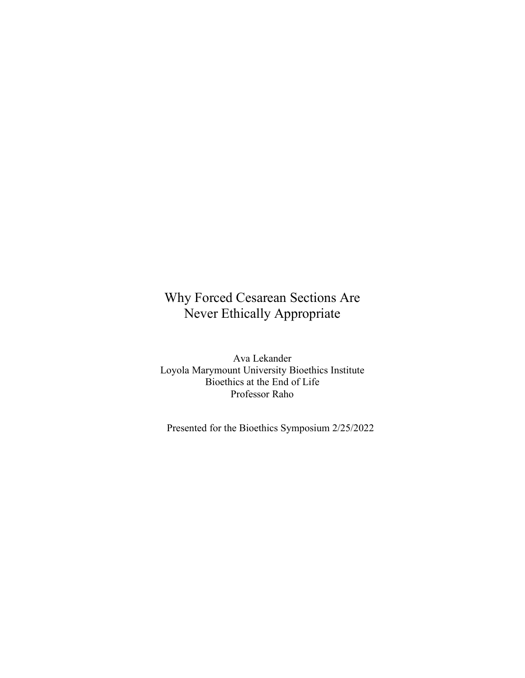## Why Forced Cesarean Sections Are Never Ethically Appropriate

Ava Lekander Loyola Marymount University Bioethics Institute Bioethics at the End of Life Professor Raho

Presented for the Bioethics Symposium 2/25/2022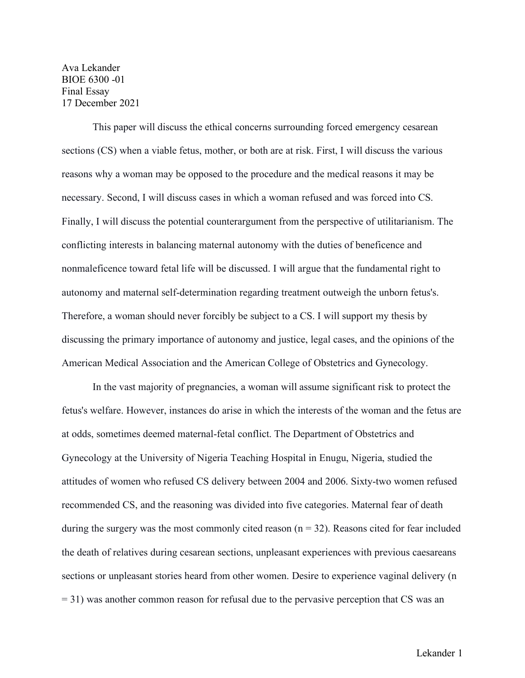Ava Lekander BIOE 6300 -01 Final Essay 17 December 2021

This paper will discuss the ethical concerns surrounding forced emergency cesarean sections (CS) when a viable fetus, mother, or both are at risk. First, I will discuss the various reasons why a woman may be opposed to the procedure and the medical reasons it may be necessary. Second, I will discuss cases in which a woman refused and was forced into CS. Finally, I will discuss the potential counterargument from the perspective of utilitarianism. The conflicting interests in balancing maternal autonomy with the duties of beneficence and nonmaleficence toward fetal life will be discussed. I will argue that the fundamental right to autonomy and maternal self-determination regarding treatment outweigh the unborn fetus's. Therefore, a woman should never forcibly be subject to a CS. I will support my thesis by discussing the primary importance of autonomy and justice, legal cases, and the opinions of the American Medical Association and the American College of Obstetrics and Gynecology.

In the vast majority of pregnancies, a woman will assume significant risk to protect the fetus's welfare. However, instances do arise in which the interests of the woman and the fetus are at odds, sometimes deemed maternal-fetal conflict. The Department of Obstetrics and Gynecology at the University of Nigeria Teaching Hospital in Enugu, Nigeria, studied the attitudes of women who refused CS delivery between 2004 and 2006. Sixty-two women refused recommended CS, and the reasoning was divided into five categories. Maternal fear of death during the surgery was the most commonly cited reason  $(n = 32)$ . Reasons cited for fear included the death of relatives during cesarean sections, unpleasant experiences with previous caesareans sections or unpleasant stories heard from other women. Desire to experience vaginal delivery (n  $= 31$ ) was another common reason for refusal due to the pervasive perception that CS was an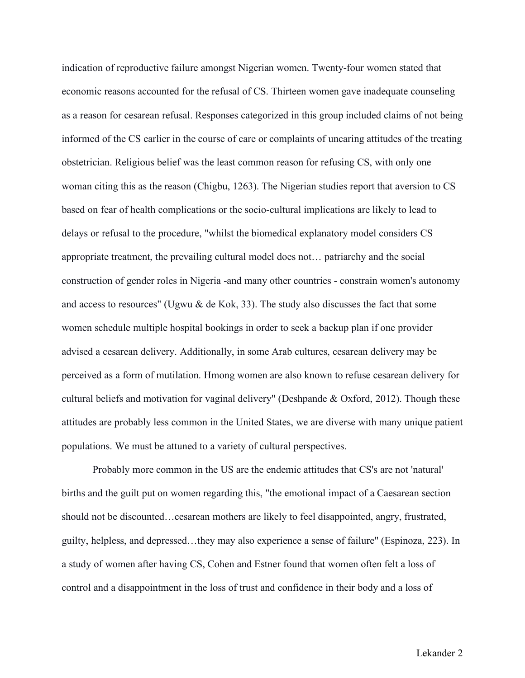indication of reproductive failure amongst Nigerian women. Twenty-four women stated that economic reasons accounted for the refusal of CS. Thirteen women gave inadequate counseling as a reason for cesarean refusal. Responses categorized in this group included claims of not being informed of the CS earlier in the course of care or complaints of uncaring attitudes of the treating obstetrician. Religious belief was the least common reason for refusing CS, with only one woman citing this as the reason (Chigbu, 1263). The Nigerian studies report that aversion to CS based on fear of health complications or the socio-cultural implications are likely to lead to delays or refusal to the procedure, "whilst the biomedical explanatory model considers CS appropriate treatment, the prevailing cultural model does not… patriarchy and the social construction of gender roles in Nigeria -and many other countries - constrain women's autonomy and access to resources" (Ugwu & de Kok, 33). The study also discusses the fact that some women schedule multiple hospital bookings in order to seek a backup plan if one provider advised a cesarean delivery. Additionally, in some Arab cultures, cesarean delivery may be perceived as a form of mutilation. Hmong women are also known to refuse cesarean delivery for cultural beliefs and motivation for vaginal delivery" (Deshpande & Oxford, 2012). Though these attitudes are probably less common in the United States, we are diverse with many unique patient populations. We must be attuned to a variety of cultural perspectives.

Probably more common in the US are the endemic attitudes that CS's are not 'natural' births and the guilt put on women regarding this, "the emotional impact of a Caesarean section should not be discounted…cesarean mothers are likely to feel disappointed, angry, frustrated, guilty, helpless, and depressed…they may also experience a sense of failure" (Espinoza, 223). In a study of women after having CS, Cohen and Estner found that women often felt a loss of control and a disappointment in the loss of trust and confidence in their body and a loss of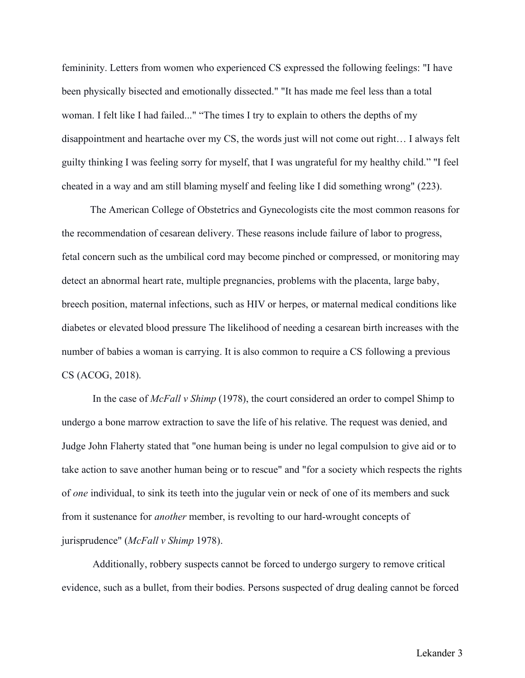femininity. Letters from women who experienced CS expressed the following feelings: "I have been physically bisected and emotionally dissected." "It has made me feel less than a total woman. I felt like I had failed..." "The times I try to explain to others the depths of my disappointment and heartache over my CS, the words just will not come out right… I always felt guilty thinking I was feeling sorry for myself, that I was ungrateful for my healthy child." "I feel cheated in a way and am still blaming myself and feeling like I did something wrong" (223).

The American College of Obstetrics and Gynecologists cite the most common reasons for the recommendation of cesarean delivery. These reasons include failure of labor to progress, fetal concern such as the umbilical cord may become pinched or compressed, or monitoring may detect an abnormal heart rate, multiple pregnancies, problems with the placenta, large baby, breech position, maternal infections, such as HIV or herpes, or maternal medical conditions like diabetes or elevated blood pressure The likelihood of needing a cesarean birth increases with the number of babies a woman is carrying. It is also common to require a CS following a previous CS (ACOG, 2018).

In the case of *McFall v Shimp* (1978), the court considered an order to compel Shimp to undergo a bone marrow extraction to save the life of his relative. The request was denied, and Judge John Flaherty stated that "one human being is under no legal compulsion to give aid or to take action to save another human being or to rescue" and "for a society which respects the rights of *one* individual, to sink its teeth into the jugular vein or neck of one of its members and suck from it sustenance for *another* member, is revolting to our hard-wrought concepts of jurisprudence" (*McFall v Shimp* 1978).

Additionally, robbery suspects cannot be forced to undergo surgery to remove critical evidence, such as a bullet, from their bodies. Persons suspected of drug dealing cannot be forced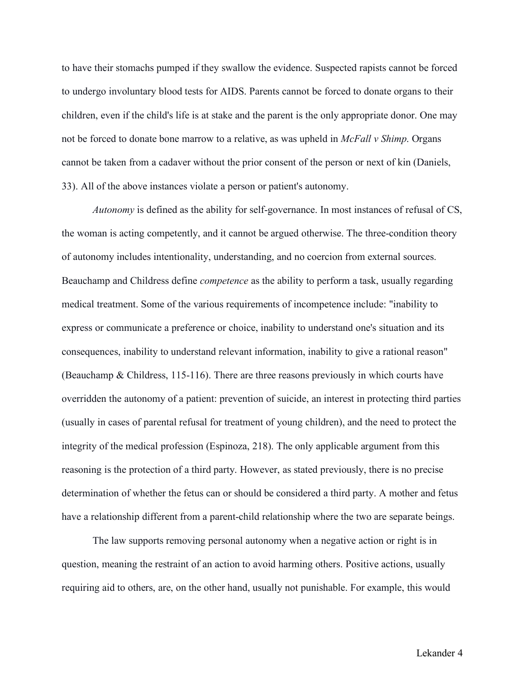to have their stomachs pumped if they swallow the evidence. Suspected rapists cannot be forced to undergo involuntary blood tests for AIDS. Parents cannot be forced to donate organs to their children, even if the child's life is at stake and the parent is the only appropriate donor. One may not be forced to donate bone marrow to a relative, as was upheld in *McFall v Shimp*. Organs cannot be taken from a cadaver without the prior consent of the person or next of kin (Daniels, 33). All of the above instances violate a person or patient's autonomy.

*Autonomy* is defined as the ability for self-governance. In most instances of refusal of CS, the woman is acting competently, and it cannot be argued otherwise. The three-condition theory of autonomy includes intentionality, understanding, and no coercion from external sources. Beauchamp and Childress define *competence* as the ability to perform a task, usually regarding medical treatment. Some of the various requirements of incompetence include: "inability to express or communicate a preference or choice, inability to understand one's situation and its consequences, inability to understand relevant information, inability to give a rational reason" (Beauchamp & Childress, 115-116). There are three reasons previously in which courts have overridden the autonomy of a patient: prevention of suicide, an interest in protecting third parties (usually in cases of parental refusal for treatment of young children), and the need to protect the integrity of the medical profession (Espinoza, 218). The only applicable argument from this reasoning is the protection of a third party. However, as stated previously, there is no precise determination of whether the fetus can or should be considered a third party. A mother and fetus have a relationship different from a parent-child relationship where the two are separate beings.

The law supports removing personal autonomy when a negative action or right is in question, meaning the restraint of an action to avoid harming others. Positive actions, usually requiring aid to others, are, on the other hand, usually not punishable. For example, this would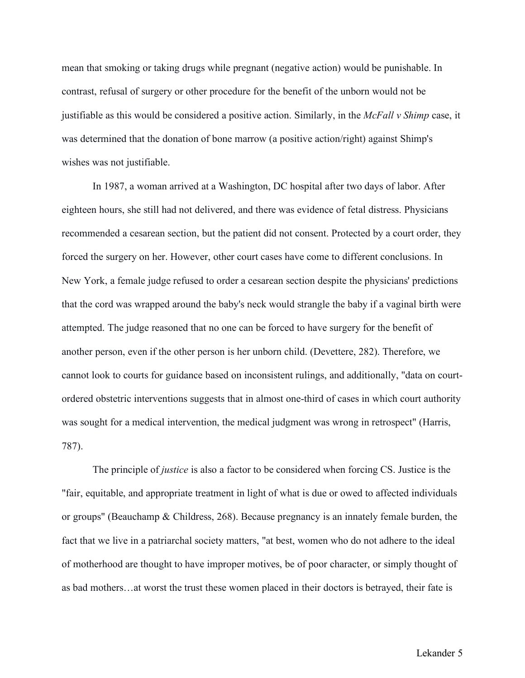mean that smoking or taking drugs while pregnant (negative action) would be punishable. In contrast, refusal of surgery or other procedure for the benefit of the unborn would not be justifiable as this would be considered a positive action. Similarly, in the *McFall v Shimp* case, it was determined that the donation of bone marrow (a positive action/right) against Shimp's wishes was not justifiable.

In 1987, a woman arrived at a Washington, DC hospital after two days of labor. After eighteen hours, she still had not delivered, and there was evidence of fetal distress. Physicians recommended a cesarean section, but the patient did not consent. Protected by a court order, they forced the surgery on her. However, other court cases have come to different conclusions. In New York, a female judge refused to order a cesarean section despite the physicians' predictions that the cord was wrapped around the baby's neck would strangle the baby if a vaginal birth were attempted. The judge reasoned that no one can be forced to have surgery for the benefit of another person, even if the other person is her unborn child. (Devettere, 282). Therefore, we cannot look to courts for guidance based on inconsistent rulings, and additionally, "data on courtordered obstetric interventions suggests that in almost one-third of cases in which court authority was sought for a medical intervention, the medical judgment was wrong in retrospect" (Harris, 787).

The principle of *justice* is also a factor to be considered when forcing CS. Justice is the "fair, equitable, and appropriate treatment in light of what is due or owed to affected individuals or groups" (Beauchamp & Childress, 268). Because pregnancy is an innately female burden, the fact that we live in a patriarchal society matters, "at best, women who do not adhere to the ideal of motherhood are thought to have improper motives, be of poor character, or simply thought of as bad mothers…at worst the trust these women placed in their doctors is betrayed, their fate is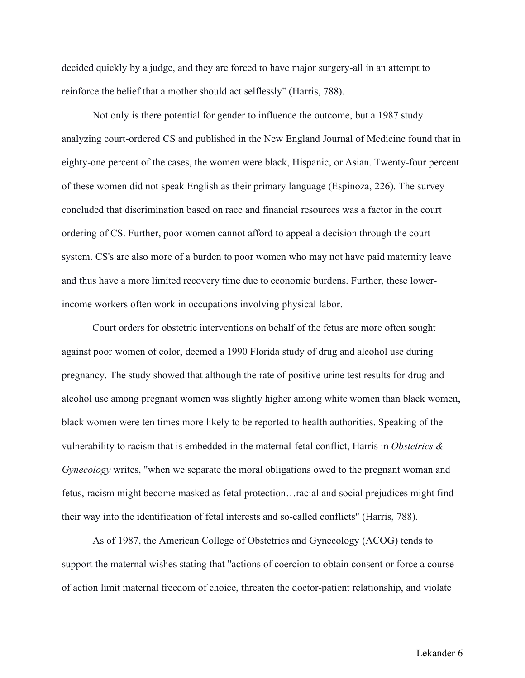decided quickly by a judge, and they are forced to have major surgery-all in an attempt to reinforce the belief that a mother should act selflessly" (Harris, 788).

Not only is there potential for gender to influence the outcome, but a 1987 study analyzing court-ordered CS and published in the New England Journal of Medicine found that in eighty-one percent of the cases, the women were black, Hispanic, or Asian. Twenty-four percent of these women did not speak English as their primary language (Espinoza, 226). The survey concluded that discrimination based on race and financial resources was a factor in the court ordering of CS. Further, poor women cannot afford to appeal a decision through the court system. CS's are also more of a burden to poor women who may not have paid maternity leave and thus have a more limited recovery time due to economic burdens. Further, these lowerincome workers often work in occupations involving physical labor.

Court orders for obstetric interventions on behalf of the fetus are more often sought against poor women of color, deemed a 1990 Florida study of drug and alcohol use during pregnancy. The study showed that although the rate of positive urine test results for drug and alcohol use among pregnant women was slightly higher among white women than black women, black women were ten times more likely to be reported to health authorities. Speaking of the vulnerability to racism that is embedded in the maternal-fetal conflict, Harris in *Obstetrics & Gynecology* writes, "when we separate the moral obligations owed to the pregnant woman and fetus, racism might become masked as fetal protection…racial and social prejudices might find their way into the identification of fetal interests and so-called conflicts" (Harris, 788).

As of 1987, the American College of Obstetrics and Gynecology (ACOG) tends to support the maternal wishes stating that "actions of coercion to obtain consent or force a course of action limit maternal freedom of choice, threaten the doctor-patient relationship, and violate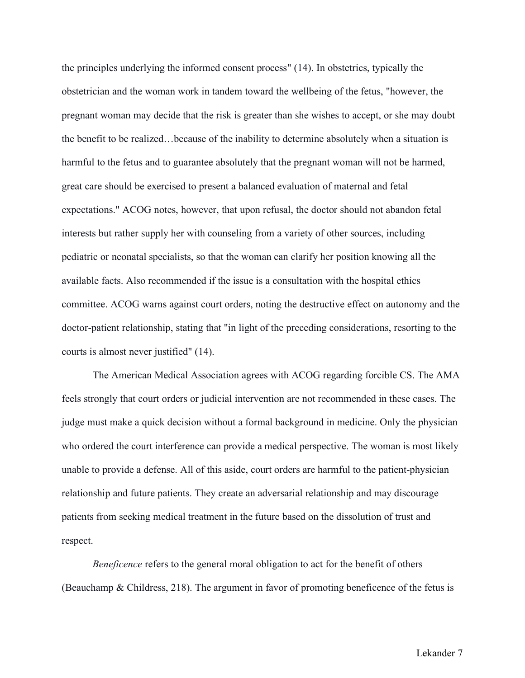the principles underlying the informed consent process" (14). In obstetrics, typically the obstetrician and the woman work in tandem toward the wellbeing of the fetus, "however, the pregnant woman may decide that the risk is greater than she wishes to accept, or she may doubt the benefit to be realized…because of the inability to determine absolutely when a situation is harmful to the fetus and to guarantee absolutely that the pregnant woman will not be harmed, great care should be exercised to present a balanced evaluation of maternal and fetal expectations." ACOG notes, however, that upon refusal, the doctor should not abandon fetal interests but rather supply her with counseling from a variety of other sources, including pediatric or neonatal specialists, so that the woman can clarify her position knowing all the available facts. Also recommended if the issue is a consultation with the hospital ethics committee. ACOG warns against court orders, noting the destructive effect on autonomy and the doctor-patient relationship, stating that "in light of the preceding considerations, resorting to the courts is almost never justified" (14).

The American Medical Association agrees with ACOG regarding forcible CS. The AMA feels strongly that court orders or judicial intervention are not recommended in these cases. The judge must make a quick decision without a formal background in medicine. Only the physician who ordered the court interference can provide a medical perspective. The woman is most likely unable to provide a defense. All of this aside, court orders are harmful to the patient-physician relationship and future patients. They create an adversarial relationship and may discourage patients from seeking medical treatment in the future based on the dissolution of trust and respect.

*Beneficence* refers to the general moral obligation to act for the benefit of others (Beauchamp & Childress, 218). The argument in favor of promoting beneficence of the fetus is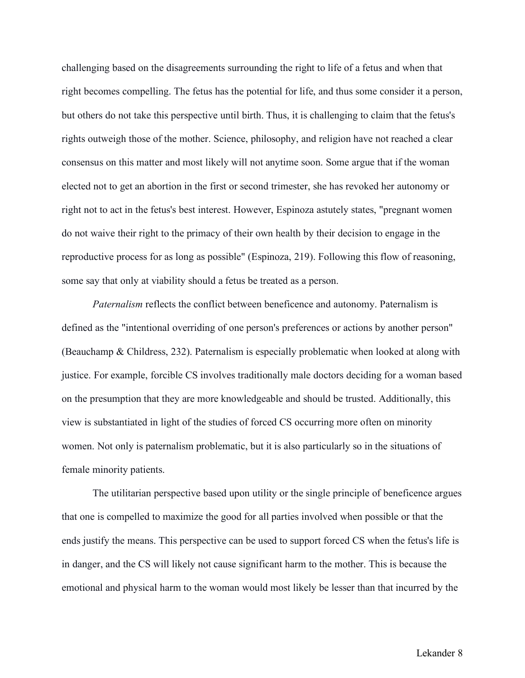challenging based on the disagreements surrounding the right to life of a fetus and when that right becomes compelling. The fetus has the potential for life, and thus some consider it a person, but others do not take this perspective until birth. Thus, it is challenging to claim that the fetus's rights outweigh those of the mother. Science, philosophy, and religion have not reached a clear consensus on this matter and most likely will not anytime soon. Some argue that if the woman elected not to get an abortion in the first or second trimester, she has revoked her autonomy or right not to act in the fetus's best interest. However, Espinoza astutely states, "pregnant women do not waive their right to the primacy of their own health by their decision to engage in the reproductive process for as long as possible" (Espinoza, 219). Following this flow of reasoning, some say that only at viability should a fetus be treated as a person.

*Paternalism* reflects the conflict between beneficence and autonomy. Paternalism is defined as the "intentional overriding of one person's preferences or actions by another person" (Beauchamp & Childress, 232). Paternalism is especially problematic when looked at along with justice. For example, forcible CS involves traditionally male doctors deciding for a woman based on the presumption that they are more knowledgeable and should be trusted. Additionally, this view is substantiated in light of the studies of forced CS occurring more often on minority women. Not only is paternalism problematic, but it is also particularly so in the situations of female minority patients.

The utilitarian perspective based upon utility or the single principle of beneficence argues that one is compelled to maximize the good for all parties involved when possible or that the ends justify the means. This perspective can be used to support forced CS when the fetus's life is in danger, and the CS will likely not cause significant harm to the mother. This is because the emotional and physical harm to the woman would most likely be lesser than that incurred by the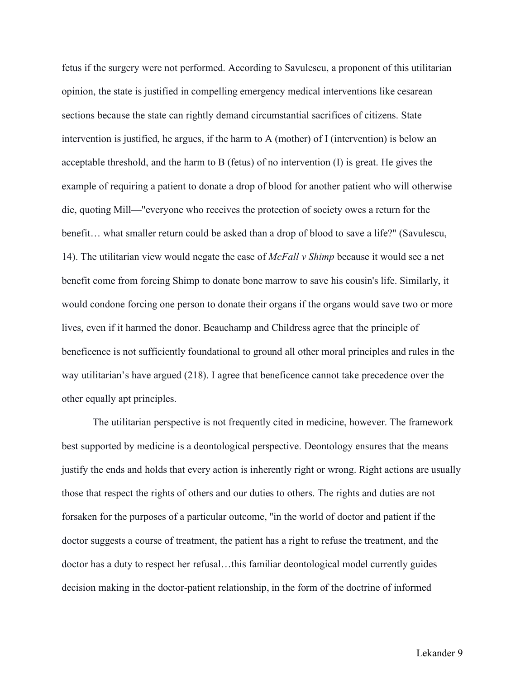fetus if the surgery were not performed. According to Savulescu, a proponent of this utilitarian opinion, the state is justified in compelling emergency medical interventions like cesarean sections because the state can rightly demand circumstantial sacrifices of citizens. State intervention is justified, he argues, if the harm to A (mother) of I (intervention) is below an acceptable threshold, and the harm to B (fetus) of no intervention (I) is great. He gives the example of requiring a patient to donate a drop of blood for another patient who will otherwise die, quoting Mill—"everyone who receives the protection of society owes a return for the benefit… what smaller return could be asked than a drop of blood to save a life?" (Savulescu, 14). The utilitarian view would negate the case of *McFall v Shimp* because it would see a net benefit come from forcing Shimp to donate bone marrow to save his cousin's life. Similarly, it would condone forcing one person to donate their organs if the organs would save two or more lives, even if it harmed the donor. Beauchamp and Childress agree that the principle of beneficence is not sufficiently foundational to ground all other moral principles and rules in the way utilitarian's have argued (218). I agree that beneficence cannot take precedence over the other equally apt principles.

The utilitarian perspective is not frequently cited in medicine, however. The framework best supported by medicine is a deontological perspective. Deontology ensures that the means justify the ends and holds that every action is inherently right or wrong. Right actions are usually those that respect the rights of others and our duties to others. The rights and duties are not forsaken for the purposes of a particular outcome, "in the world of doctor and patient if the doctor suggests a course of treatment, the patient has a right to refuse the treatment, and the doctor has a duty to respect her refusal…this familiar deontological model currently guides decision making in the doctor-patient relationship, in the form of the doctrine of informed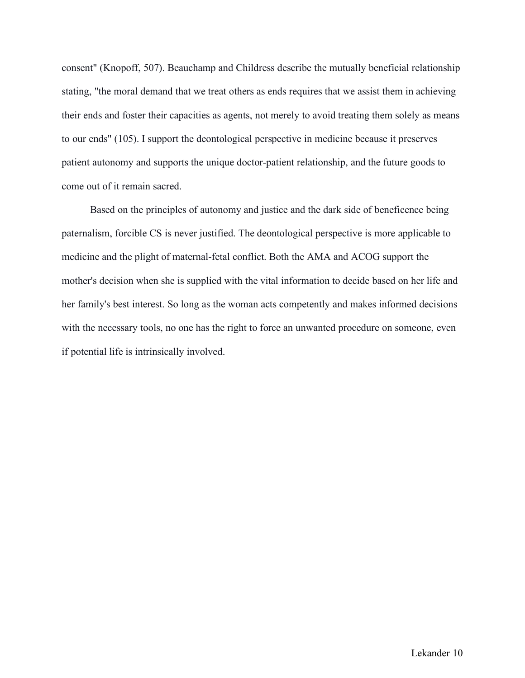consent" (Knopoff, 507). Beauchamp and Childress describe the mutually beneficial relationship stating, "the moral demand that we treat others as ends requires that we assist them in achieving their ends and foster their capacities as agents, not merely to avoid treating them solely as means to our ends" (105). I support the deontological perspective in medicine because it preserves patient autonomy and supports the unique doctor-patient relationship, and the future goods to come out of it remain sacred.

Based on the principles of autonomy and justice and the dark side of beneficence being paternalism, forcible CS is never justified. The deontological perspective is more applicable to medicine and the plight of maternal-fetal conflict. Both the AMA and ACOG support the mother's decision when she is supplied with the vital information to decide based on her life and her family's best interest. So long as the woman acts competently and makes informed decisions with the necessary tools, no one has the right to force an unwanted procedure on someone, even if potential life is intrinsically involved.